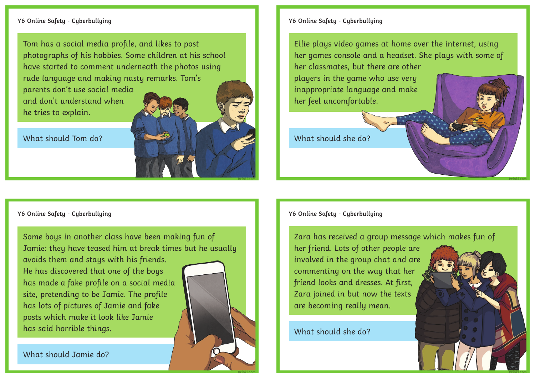## **Y6 Online Safety - Cyberbullying**

Tom has a social media profile, and likes to post photographs of his hobbies. Some children at his school have started to comment underneath the photos using rude language and making nasty remarks. Tom's parents don't use social media and don't understand when he tries to explain.

What should Tom do?



Some boys in another class have been making fun of Jamie: they have teased him at break times but he usually avoids them and stays with his friends. He has discovered that one of the boys has made a fake profile on a social media site, pretending to be Jamie. The profile has lots of pictures of Jamie and fake posts which make it look like Jamie has said horrible things.

What should Jamie do?



**twinkl.com**

**twinkl.com**

**Y6 Online Safety - Cyberbullying**

Ellie plays video games at home over the internet, using her games console and a headset. She plays with some of her classmates, but there are other

players in the game who use very inappropriate language and make her feel uncomfortable.

What should she do?

**Y6 Online Safety - Cyberbullying**

Zara has received a group message which makes fun of

her friend. Lots of other people are involved in the group chat and are commenting on the way that her friend looks and dresses. At first, Zara joined in but now the texts are becoming really mean.

What should she do?



**twinkl.com**